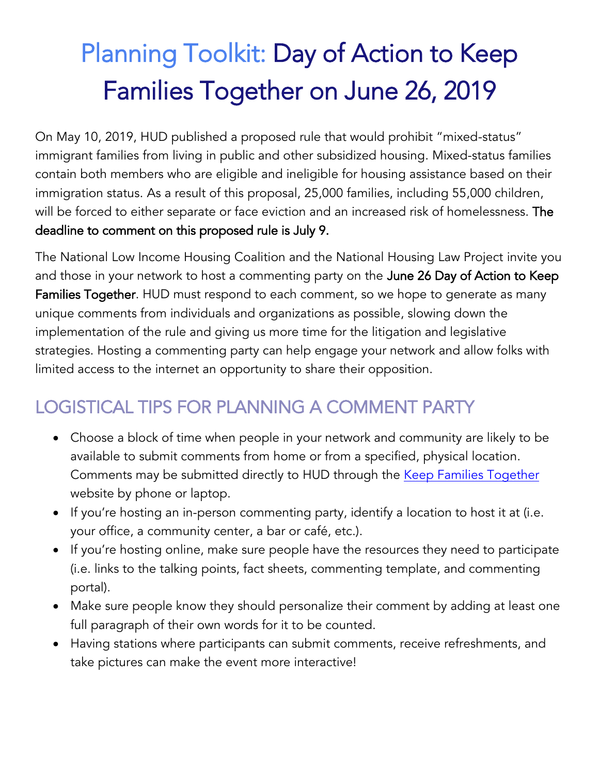## Planning Toolkit: Day of Action to Keep Families Together on June 26, 2019

On May 10, 2019, HUD published a proposed rule that would prohibit "mixed-status" immigrant families from living in public and other subsidized housing. Mixed-status families contain both members who are eligible and ineligible for housing assistance based on their immigration status. As a result of this proposal, 25,000 families, including 55,000 children, will be forced to either separate or face eviction and an increased risk of homelessness. The deadline to comment on this proposed rule is July 9.

The National Low Income Housing Coalition and the National Housing Law Project invite you and those in your network to host a commenting party on the June 26 Day of Action to Keep Families Together. HUD must respond to each comment, so we hope to generate as many unique comments from individuals and organizations as possible, slowing down the implementation of the rule and giving us more time for the litigation and legislative strategies. Hosting a commenting party can help engage your network and allow folks with limited access to the internet an opportunity to share their opposition.

## LOGISTICAL TIPS FOR PLANNING A COMMENT PARTY

- Choose a block of time when people in your network and community are likely to be available to submit comments from home or from a specified, physical location. Comments may be submitted directly to HUD through the [Keep Families Together](http://www.keep-families-together.org/) website by phone or laptop.
- If you're hosting an in-person commenting party, identify a location to host it at (i.e. your office, a community center, a bar or café, etc.).
- If you're hosting online, make sure people have the resources they need to participate (i.e. links to the talking points, fact sheets, commenting template, and commenting portal).
- Make sure people know they should personalize their comment by adding at least one full paragraph of their own words for it to be counted.
- Having stations where participants can submit comments, receive refreshments, and take pictures can make the event more interactive!